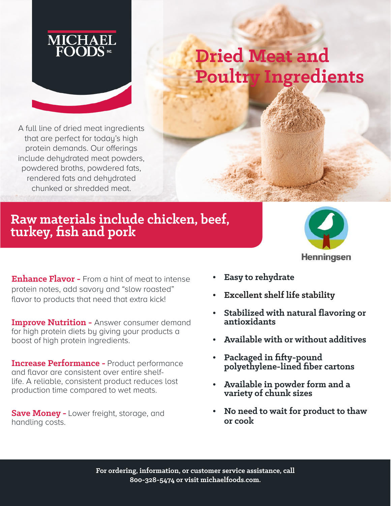

## **Dried Meat and Poultry Ingredients**

A full line of dried meat ingredients that are perfect for today's high protein demands. Our offerings include dehydrated meat powders, powdered broths, powdered fats, rendered fats and dehydrated chunked or shredded meat.

## **Raw materials include chicken, beef, turkey, fish and pork**



**Enhance Flavor -** From a hint of meat to intense protein notes, add savory and "slow roasted" flavor to products that need that extra kick!

**Improve Nutrition -** Answer consumer demand for high protein diets by giving your products a boost of high protein ingredients.

**Increase Performance -** Product performance and flavor are consistent over entire shelflife. A reliable, consistent product reduces lost production time compared to wet meats.

**Save Money -** Lower freight, storage, and handling costs.

- **Easy to rehydrate**
- **Excellent shelf life stability**
- **Stabilized with natural flavoring or antioxidants**
- **Available with or without additives**
- **Packaged in fifty-pound polyethylene-lined fiber cartons**
- **Available in powder form and a variety of chunk sizes**
- **No need to wait for product to thaw or cook**